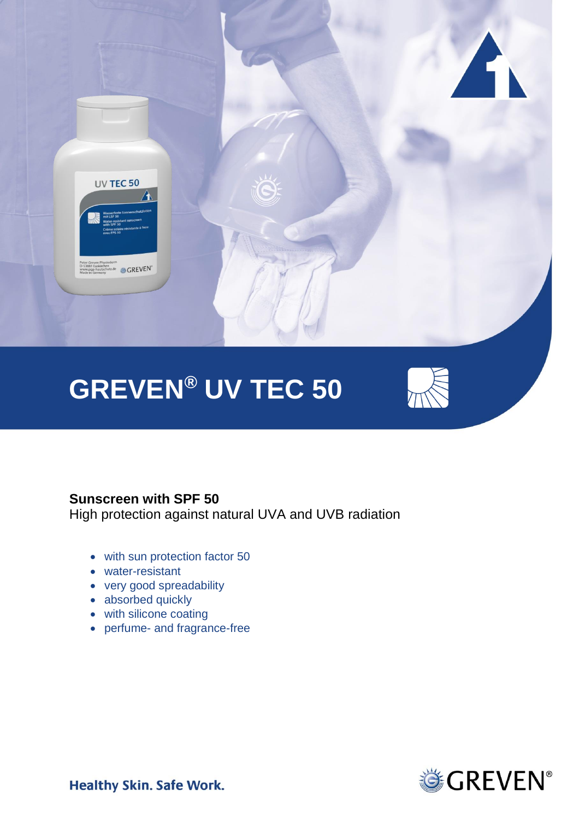

# **GREVEN® UV TEC 50**



# **Sunscreen with SPF 50**

High protection against natural UVA and UVB radiation

- with sun protection factor 50
- water-resistant
- very good spreadability
- absorbed quickly
- with silicone coating
- perfume- and fragrance-free



**Healthy Skin. Safe Work.**